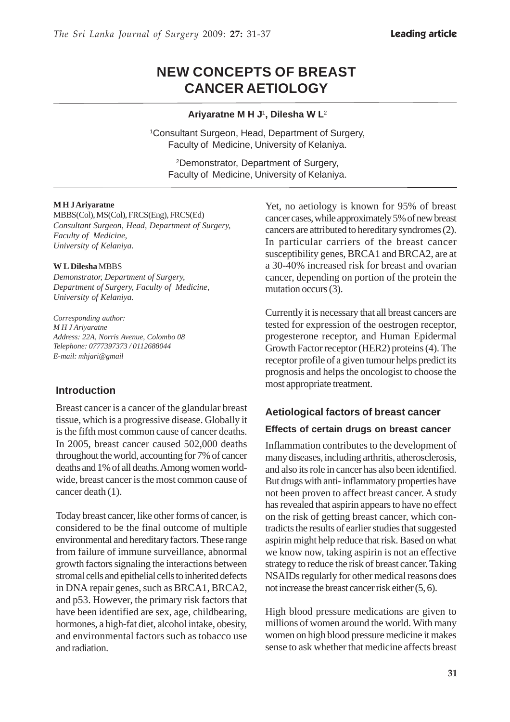# **NEW CONCEPTS OF BREAST CANCER AETIOLOGY**

#### **Ariyaratne M H J**1**, Dilesha W L**<sup>2</sup>

1 Consultant Surgeon, Head, Department of Surgery, Faculty of Medicine, University of Kelaniya.

2Demonstrator, Department of Surgery, Faculty of Medicine, University of Kelaniya.

#### **M H J Ariyaratne**

MBBS(Col), MS(Col), FRCS(Eng), FRCS(Ed) *Consultant Surgeon, Head, Department of Surgery, Faculty of Medicine, University of Kelaniya.*

#### **W L Dilesha** MBBS

*Demonstrator, Department of Surgery, Department of Surgery, Faculty of Medicine, University of Kelaniya.*

*Corresponding author: M H J Ariyaratne Address: 22A, Norris Avenue, Colombo 08 Telephone: 0777397373 / 0112688044 E-mail: mhjari@gmail*

#### **Introduction**

Breast cancer is a cancer of the glandular breast tissue, which is a progressive disease. Globally it is the fifth most common cause of cancer deaths. In 2005, breast cancer caused 502,000 deaths throughout the world, accounting for 7% of cancer deaths and 1% of all deaths. Among women worldwide, breast cancer is the most common cause of cancer death (1).

Today breast cancer, like other forms of cancer, is considered to be the final outcome of multiple environmental and hereditary factors. These range from failure of immune surveillance, abnormal growth factors signaling the interactions between stromal cells and epithelial cells to inherited defects in DNA repair genes, such as BRCA1, BRCA2, and p53. However, the primary risk factors that have been identified are sex, age, childbearing, hormones, a high-fat diet, alcohol intake, obesity, and environmental factors such as tobacco use and radiation.

Yet, no aetiology is known for 95% of breast cancer cases, while approximately 5% of new breast cancers are attributed to hereditary syndromes (2). In particular carriers of the breast cancer susceptibility genes, BRCA1 and BRCA2, are at a 30-40% increased risk for breast and ovarian cancer, depending on portion of the protein the mutation occurs (3).

Currently it is necessary that all breast cancers are tested for expression of the oestrogen receptor, progesterone receptor, and Human Epidermal Growth Factor receptor (HER2) proteins (4). The receptor profile of a given tumour helps predict its prognosis and helps the oncologist to choose the most appropriate treatment.

### **Aetiological factors of breast cancer**

#### **Effects of certain drugs on breast cancer**

Inflammation contributes to the development of many diseases, including arthritis, atherosclerosis, and also its role in cancer has also been identified. But drugs with anti- inflammatory properties have not been proven to affect breast cancer. A study has revealed that aspirin appears to have no effect on the risk of getting breast cancer, which contradicts the results of earlier studies that suggested aspirin might help reduce that risk. Based on what we know now, taking aspirin is not an effective strategy to reduce the risk of breast cancer. Taking NSAIDs regularly for other medical reasons does not increase the breast cancer risk either (5, 6).

High blood pressure medications are given to millions of women around the world. With many women on high blood pressure medicine it makes sense to ask whether that medicine affects breast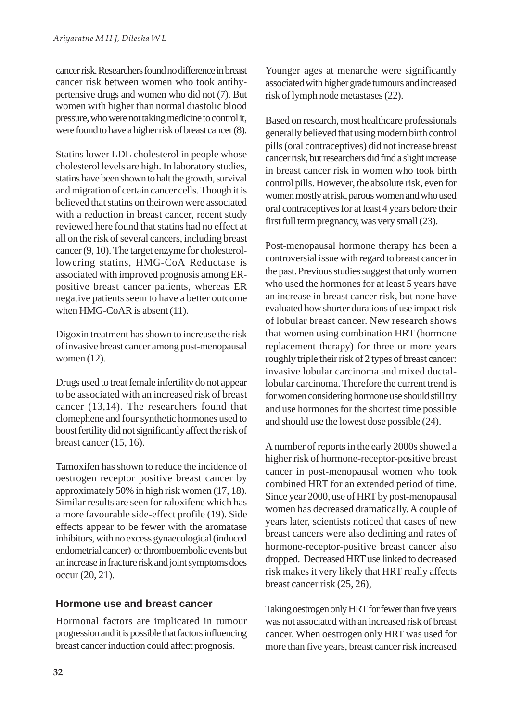cancer risk. Researchers found no difference in breast cancer risk between women who took antihypertensive drugs and women who did not (7). But women with higher than normal diastolic blood pressure, who were not taking medicine to control it, were found to have a higher risk of breast cancer (8).

Statins lower LDL cholesterol in people whose cholesterol levels are high. In laboratory studies, statins have been shown to halt the growth, survival and migration of certain cancer cells. Though it is believed that statins on their own were associated with a reduction in breast cancer, recent study reviewed here found that statins had no effect at all on the risk of several cancers, including breast cancer (9, 10). The target enzyme for cholesterollowering statins, HMG-CoA Reductase is associated with improved prognosis among ERpositive breast cancer patients, whereas ER negative patients seem to have a better outcome when HMG-CoAR is absent (11).

Digoxin treatment has shown to increase the risk of invasive breast cancer among post-menopausal women (12).

Drugs used to treat female infertility do not appear to be associated with an increased risk of breast cancer (13,14). The researchers found that clomephene and four synthetic hormones used to boost fertility did not significantly affect the risk of breast cancer (15, 16).

Tamoxifen has shown to reduce the incidence of oestrogen receptor positive breast cancer by approximately 50% in high risk women (17, 18). Similar results are seen for raloxifene which has a more favourable side-effect profile (19). Side effects appear to be fewer with the aromatase inhibitors, with no excess gynaecological (induced endometrial cancer) or thromboembolic events but an increase in fracture risk and joint symptoms does occur (20, 21).

# **Hormone use and breast cancer**

Hormonal factors are implicated in tumour progression and it is possible that factors influencing breast cancer induction could affect prognosis.

Younger ages at menarche were significantly associated with higher grade tumours and increased risk of lymph node metastases (22).

Based on research, most healthcare professionals generally believed that using modern birth control pills (oral contraceptives) did not increase breast cancer risk, but researchers did find a slight increase in breast cancer risk in women who took birth control pills. However, the absolute risk, even for women mostly at risk, parous women and who used oral contraceptives for at least 4 years before their first full term pregnancy, was very small (23).

Post-menopausal hormone therapy has been a controversial issue with regard to breast cancer in the past. Previous studies suggest that only women who used the hormones for at least 5 years have an increase in breast cancer risk, but none have evaluated how shorter durations of use impact risk of lobular breast cancer. New research shows that women using combination HRT (hormone replacement therapy) for three or more years roughly triple their risk of 2 types of breast cancer: invasive lobular carcinoma and mixed ductallobular carcinoma. Therefore the current trend is for women considering hormone use should still try and use hormones for the shortest time possible and should use the lowest dose possible (24).

A number of reports in the early 2000s showed a higher risk of hormone-receptor-positive breast cancer in post-menopausal women who took combined HRT for an extended period of time. Since year 2000, use of HRT by post-menopausal women has decreased dramatically. A couple of years later, scientists noticed that cases of new breast cancers were also declining and rates of hormone-receptor-positive breast cancer also dropped. Decreased HRT use linked to decreased risk makes it very likely that HRT really affects breast cancer risk (25, 26),

Taking oestrogen only HRT for fewer than five years was not associated with an increased risk of breast cancer. When oestrogen only HRT was used for more than five years, breast cancer risk increased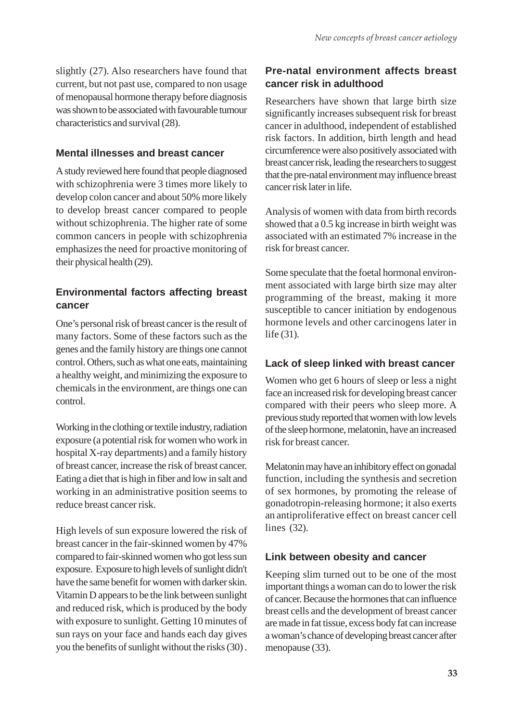slightly (27). Also researchers have found that current, but not past use, compared to non usage of menopausal hormone therapy before diagnosis was shown to be associated with favourable tumour characteristics and survival (28).

#### **Mental illnesses and breast cancer**

A study reviewed here found that people diagnosed with schizophrenia were 3 times more likely to develop colon cancer and about 50% more likely to develop breast cancer compared to people without schizophrenia. The higher rate of some common cancers in people with schizophrenia emphasizes the need for proactive monitoring of their physical health (29).

# **Environmental factors affecting breast cancer**

One's personal risk of breast cancer is the result of many factors. Some of these factors such as the genes and the family history are things one cannot control. Others, such as what one eats, maintaining a healthy weight, and minimizing the exposure to chemicals in the environment, are things one can control.

Working in the clothing or textile industry, radiation exposure (a potential risk for women who work in hospital X-ray departments) and a family history of breast cancer, increase the risk of breast cancer. Eating a diet that is high in fiber and low in salt and working in an administrative position seems to reduce breast cancer risk.

High levels of sun exposure lowered the risk of breast cancer in the fair-skinned women by 47% compared to fair-skinned women who got less sun exposure. Exposure to high levels of sunlight didn't have the same benefit for women with darker skin. Vitamin D appears to be the link between sunlight and reduced risk, which is produced by the body with exposure to sunlight. Getting 10 minutes of sun rays on your face and hands each day gives you the benefits of sunlight without the risks (30) .

### **Pre-natal environment affects breast cancer risk in adulthood**

Researchers have shown that large birth size significantly increases subsequent risk for breast cancer in adulthood, independent of established risk factors. In addition, birth length and head circumference were also positively associated with breast cancer risk, leading the researchers to suggest that the pre-natal environment may influence breast cancer risk later in life.

Analysis of women with data from birth records showed that a 0.5 kg increase in birth weight was associated with an estimated 7% increase in the risk for breast cancer.

Some speculate that the foetal hormonal environment associated with large birth size may alter programming of the breast, making it more susceptible to cancer initiation by endogenous hormone levels and other carcinogens later in life (31).

### **Lack of sleep linked with breast cancer**

Women who get 6 hours of sleep or less a night face an increased risk for developing breast cancer compared with their peers who sleep more. A previous study reported that women with low levels of the sleep hormone, melatonin, have an increased risk for breast cancer.

Melatonin may have an inhibitory effect on gonadal function, including the synthesis and secretion of sex hormones, by promoting the release of gonadotropin-releasing hormone; it also exerts an antiproliferative effect on breast cancer cell lines (32).

#### **Link between obesity and cancer**

Keeping slim turned out to be one of the most important things a woman can do to lower the risk of cancer. Because the hormones that can influence breast cells and the development of breast cancer are made in fat tissue, excess body fat can increase a woman's chance of developing breast cancer after menopause (33).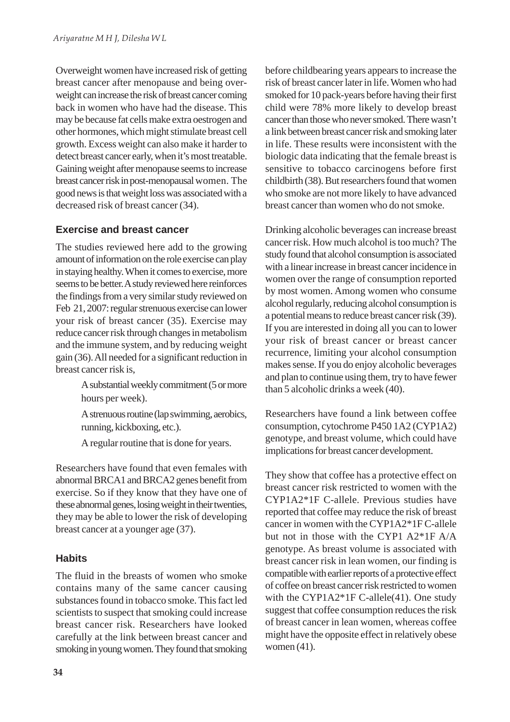Overweight women have increased risk of getting breast cancer after menopause and being overweight can increase the risk of breast cancer coming back in women who have had the disease. This may be because fat cells make extra oestrogen and other hormones, which might stimulate breast cell growth. Excess weight can also make it harder to detect breast cancer early, when it's most treatable. Gaining weight after menopause seems to increase breast cancer risk in post-menopausal women. The good news is that weight loss was associated with a decreased risk of breast cancer (34).

### **Exercise and breast cancer**

The studies reviewed here add to the growing amount of information on the role exercise can play in staying healthy. When it comes to exercise, more seems to be better. A study reviewed here reinforces the findings from a very similar study reviewed on Feb 21, 2007: regular strenuous exercise can lower your risk of breast cancer (35). Exercise may reduce cancer risk through changes in metabolism and the immune system, and by reducing weight gain (36). All needed for a significant reduction in breast cancer risk is,

> A substantial weekly commitment (5 or more hours per week).

> A strenuous routine (lap swimming, aerobics, running, kickboxing, etc.).

A regular routine that is done for years.

Researchers have found that even females with abnormal BRCA1 and BRCA2 genes benefit from exercise. So if they know that they have one of these abnormal genes, losing weight in their twenties, they may be able to lower the risk of developing breast cancer at a younger age (37).

# **Habits**

The fluid in the breasts of women who smoke contains many of the same cancer causing substances found in tobacco smoke. This fact led scientists to suspect that smoking could increase breast cancer risk. Researchers have looked carefully at the link between breast cancer and smoking in young women. They found that smoking before childbearing years appears to increase the risk of breast cancer later in life. Women who had smoked for 10 pack-years before having their first child were 78% more likely to develop breast cancer than those who never smoked. There wasn't a link between breast cancer risk and smoking later in life. These results were inconsistent with the biologic data indicating that the female breast is sensitive to tobacco carcinogens before first childbirth (38). But researchers found that women who smoke are not more likely to have advanced breast cancer than women who do not smoke.

Drinking alcoholic beverages can increase breast cancer risk. How much alcohol is too much? The study found that alcohol consumption is associated with a linear increase in breast cancer incidence in women over the range of consumption reported by most women. Among women who consume alcohol regularly, reducing alcohol consumption is a potential means to reduce breast cancer risk (39). If you are interested in doing all you can to lower your risk of breast cancer or breast cancer recurrence, limiting your alcohol consumption makes sense. If you do enjoy alcoholic beverages and plan to continue using them, try to have fewer than 5 alcoholic drinks a week (40).

Researchers have found a link between coffee consumption, cytochrome P450 1A2 (CYP1A2) genotype, and breast volume, which could have implications for breast cancer development.

They show that coffee has a protective effect on breast cancer risk restricted to women with the CYP1A2\*1F C-allele. Previous studies have reported that coffee may reduce the risk of breast cancer in women with the CYP1A2\*1F C-allele but not in those with the CYP1 A2\*1F A/A genotype. As breast volume is associated with breast cancer risk in lean women, our finding is compatible with earlier reports of a protective effect of coffee on breast cancer risk restricted to women with the CYP1A2\*1F C-allele(41). One study suggest that coffee consumption reduces the risk of breast cancer in lean women, whereas coffee might have the opposite effect in relatively obese women (41).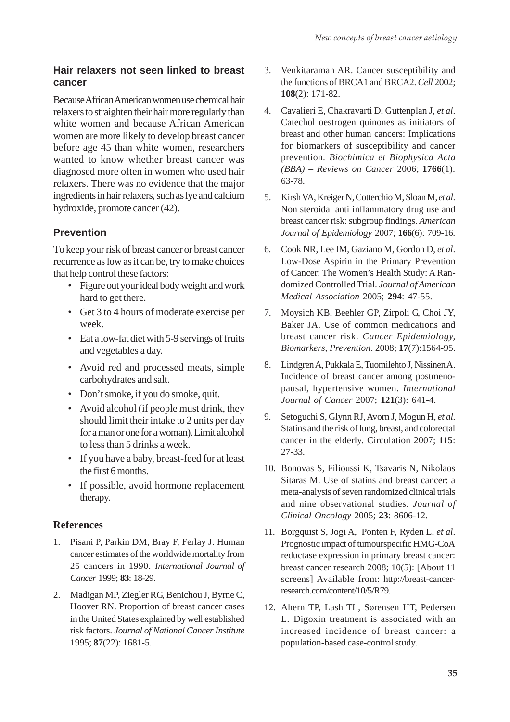## **Hair relaxers not seen linked to breast cancer**

Because African American women use chemical hair relaxers to straighten their hair more regularly than white women and because African American women are more likely to develop breast cancer before age 45 than white women, researchers wanted to know whether breast cancer was diagnosed more often in women who used hair relaxers. There was no evidence that the major ingredients in hair relaxers, such as lye and calcium hydroxide, promote cancer (42).

# **Prevention**

To keep your risk of breast cancer or breast cancer recurrence as low as it can be, try to make choices that help control these factors:

- Figure out your ideal body weight and work hard to get there.
- Get 3 to 4 hours of moderate exercise per week.
- Eat a low-fat diet with 5-9 servings of fruits and vegetables a day.
- Avoid red and processed meats, simple carbohydrates and salt.
- Don't smoke, if you do smoke, quit.
- Avoid alcohol (if people must drink, they should limit their intake to 2 units per day for a man or one for a woman). Limit alcohol to less than 5 drinks a week.
- If you have a baby, breast-feed for at least the first 6 months.
- If possible, avoid hormone replacement therapy.

### **References**

- 1. Pisani P, Parkin DM, Bray F, Ferlay J. Human cancer estimates of the worldwide mortality from 25 cancers in 1990. *International Journal of Cancer* 1999; **83**: 18-29.
- 2. Madigan MP, Ziegler RG, Benichou J, Byrne C, Hoover RN. Proportion of breast cancer cases in the United States explained by well established risk factors. *Journal of National Cancer Institute* 1995; **87**(22): 1681-5.
- 3. Venkitaraman AR. Cancer susceptibility and the functions of BRCA1 and BRCA2. *Cell* 2002; **108**(2): 171-82.
- 4. Cavalieri E, Chakravarti D, Guttenplan J, *et al*. Catechol oestrogen quinones as initiators of breast and other human cancers: Implications for biomarkers of susceptibility and cancer prevention. *Biochimica et Biophysica Acta (BBA) – Reviews on Cancer* 2006; **1766**(1): 63-78.
- 5. Kirsh VA, Kreiger N, Cotterchio M, Sloan M, *et al*. Non steroidal anti inflammatory drug use and breast cancer risk: subgroup findings. *American Journal of Epidemiology* 2007; **166**(6): 709-16.
- 6. Cook NR, Lee IM, Gaziano M, Gordon D, *et al*. Low-Dose Aspirin in the Primary Prevention of Cancer: The Women's Health Study: A Randomized Controlled Trial. *Journal of American Medical Association* 2005; **294**: 47-55.
- 7. Moysich KB, Beehler GP, Zirpoli G, Choi JY, Baker JA. Use of common medications and breast cancer risk. *Cancer Epidemiology, Biomarkers, Prevention*. 2008; **17**(7):1564-95.
- 8. Lindgren A, Pukkala E, Tuomilehto J, Nissinen A. Incidence of breast cancer among postmenopausal, hypertensive women. *International Journal of Cancer* 2007; **121**(3): 641-4.
- 9. Setoguchi S, Glynn RJ, Avorn J, Mogun H, *et al*. Statins and the risk of lung, breast, and colorectal cancer in the elderly. Circulation 2007; **115**: 27-33.
- 10. Bonovas S, Filioussi K, Tsavaris N, Nikolaos Sitaras M. Use of statins and breast cancer: a meta-analysis of seven randomized clinical trials and nine observational studies. *Journal of Clinical Oncology* 2005; **23**: 8606-12.
- 11. Borgquist S, Jogi A, Ponten F, Ryden L, *et al*. Prognostic impact of tumourspecific HMG-CoA reductase expression in primary breast cancer: breast cancer research 2008; 10(5): [About 11 screens] Available from: http://breast-cancerresearch.com/content/10/5/R79.
- 12. Ahern TP, Lash TL, Sørensen HT, Pedersen L. Digoxin treatment is associated with an increased incidence of breast cancer: a population-based case-control study.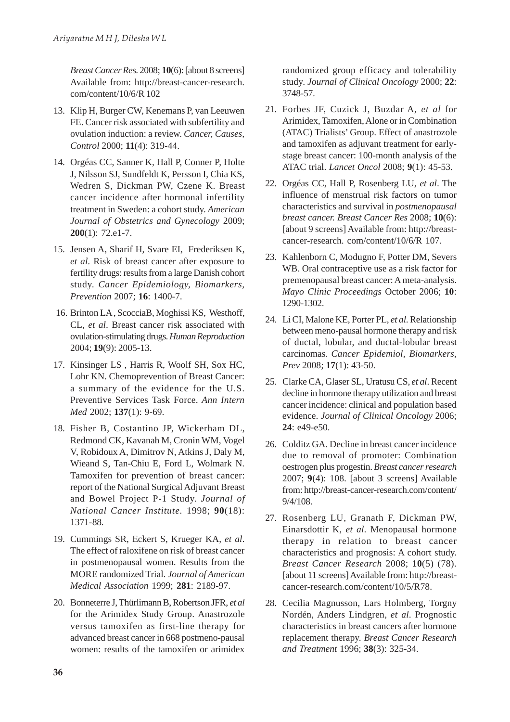*Breast Cancer Re*s. 2008; **10**(6): [about 8 screens] Available from: http://breast-cancer-research. com/content/10/6/R 102

- 13. Klip H, Burger CW, Kenemans P, van Leeuwen FE. Cancer risk associated with subfertility and ovulation induction: a review. *Cancer, Causes, Control* 2000; **11**(4): 319-44.
- 14. Orgéas CC, Sanner K, Hall P, Conner P, Holte J, Nilsson SJ, Sundfeldt K, Persson I, Chia KS, Wedren S, Dickman PW, Czene K. Breast cancer incidence after hormonal infertility treatment in Sweden: a cohort study. *American Journal of Obstetrics and Gynecology* 2009; **200**(1): 72.e1-7.
- 15. Jensen A, Sharif H, Svare EI, Frederiksen K, *et al*. Risk of breast cancer after exposure to fertility drugs: results from a large Danish cohort study. *Cancer Epidemiology, Biomarkers, Prevention* 2007; **16**: 1400-7.
- 16. Brinton LA , ScocciaB, Moghissi KS, Westhoff, CL, *et al*. Breast cancer risk associated with ovulation-stimulating drugs. *Human Reproduction* 2004; **19**(9): 2005-13.
- 17. Kinsinger LS , Harris R, Woolf SH, Sox HC, Lohr KN. Chemoprevention of Breast Cancer: a summary of the evidence for the U.S. Preventive Services Task Force. *Ann Intern Med* 2002; **137**(1): 9-69.
- 18. Fisher B, Costantino JP, Wickerham DL, Redmond CK, Kavanah M, Cronin WM, Vogel V, Robidoux A, Dimitrov N, Atkins J, Daly M, Wieand S, Tan-Chiu E, Ford L, Wolmark N. Tamoxifen for prevention of breast cancer: report of the National Surgical Adjuvant Breast and Bowel Project P-1 Study. *Journal of National Cancer Institute.* 1998; **90**(18): 1371-88.
- 19. Cummings SR, Eckert S, Krueger KA, *et al*. The effect of raloxifene on risk of breast cancer in postmenopausal women. Results from the MORE randomized Trial. *Journal of American Medical Association* 1999; **281**: 2189-97.
- 20. Bonneterre J, Thürlimann B, Robertson JFR, *et al* for the Arimidex Study Group. Anastrozole versus tamoxifen as first-line therapy for advanced breast cancer in 668 postmeno-pausal women: results of the tamoxifen or arimidex

randomized group efficacy and tolerability study. *Journal of Clinical Oncology* 2000; **22**: 3748-57.

- 21. Forbes JF, Cuzick J, Buzdar A, *et al* for Arimidex, Tamoxifen, Alone or in Combination (ATAC) Trialists' Group. Effect of anastrozole and tamoxifen as adjuvant treatment for earlystage breast cancer: 100-month analysis of the ATAC trial. *Lancet Oncol* 2008; **9**(1): 45-53.
- 22. Orgéas CC, Hall P, Rosenberg LU, *et al*. The influence of menstrual risk factors on tumor characteristics and survival in *postmenopausal breast cancer. Breast Cancer Res* 2008; **10**(6): [about 9 screens] Available from: http://breastcancer-research. com/content/10/6/R 107.
- 23. Kahlenborn C, Modugno F, Potter DM, Severs WB. Oral contraceptive use as a risk factor for premenopausal breast cancer: A meta-analysis. *Mayo Clinic Proceedings* October 2006; **10**: 1290-1302.
- 24. Li CI, Malone KE, Porter PL, *et al*. Relationship between meno-pausal hormone therapy and risk of ductal, lobular, and ductal-lobular breast carcinomas. *Cancer Epidemiol, Biomarkers, Prev* 2008; **17**(1): 43-50.
- 25. Clarke CA, Glaser SL, Uratusu CS, *et al*. Recent decline in hormone therapy utilization and breast cancer incidence: clinical and population based evidence. *Journal of Clinical Oncology* 2006; **24**: e49-e50.
- 26. Colditz GA. Decline in breast cancer incidence due to removal of promoter: Combination oestrogen plus progestin. *Breast cancer research* 2007; **9**(4): 108. [about 3 screens] Available from: http://breast-cancer-research.com/content/ 9/4/108.
- 27. Rosenberg LU, Granath F, Dickman PW, Einarsdottir K, *et al*. Menopausal hormone therapy in relation to breast cancer characteristics and prognosis: A cohort study. *Breast Cancer Research* 2008; **10**(5) (78). [about 11 screens] Available from: http://breastcancer-research.com/content/10/5/R78.
- 28. Cecilia Magnusson, Lars Holmberg, Torgny Nordén, Anders Lindgren, *et al*. Prognostic characteristics in breast cancers after hormone replacement therapy. *Breast Cancer Research and Treatment* 1996; **38**(3): 325-34.